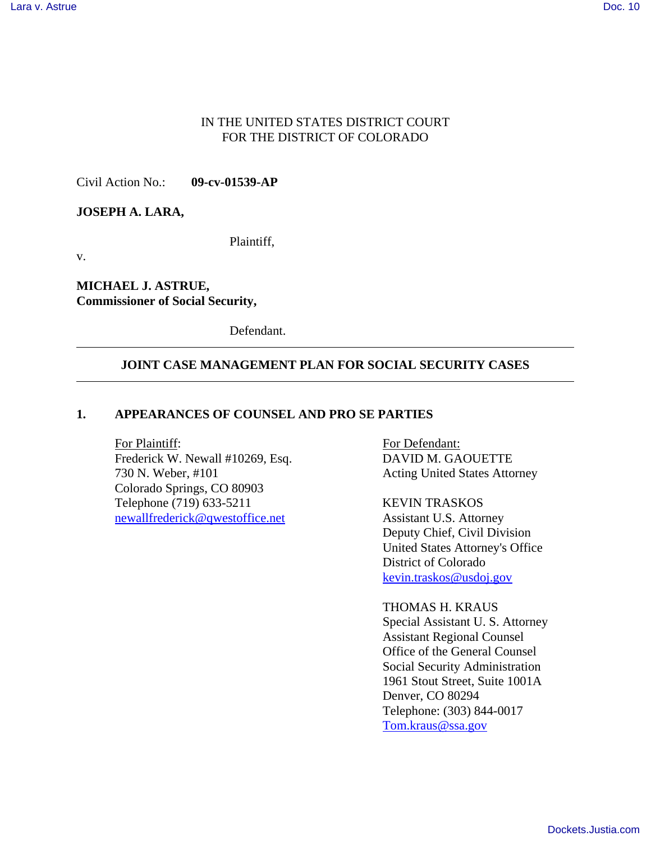#### IN THE UNITED STATES DISTRICT COURT FOR THE DISTRICT OF COLORADO

Civil Action No.: **09-cv-01539-AP**

#### **JOSEPH A. LARA,**

Plaintiff,

v.

**MICHAEL J. ASTRUE, Commissioner of Social Security,**

Defendant.

#### **JOINT CASE MANAGEMENT PLAN FOR SOCIAL SECURITY CASES**

#### **1. APPEARANCES OF COUNSEL AND PRO SE PARTIES**

For Plaintiff: For Defendant: Frederick W. Newall #10269, Esq. DAVID M. GAOUETTE 730 N. Weber, #101 Acting United States Attorney Colorado Springs, CO 80903 Telephone (719) 633-5211 KEVIN TRASKOS newallfrederick@qwestoffice.net Assistant U.S. Attorney

Deputy Chief, Civil Division United States Attorney's Office District of Colorado kevin.traskos@usdoj.gov

#### THOMAS H. KRAUS

Special Assistant U. S. Attorney Assistant Regional Counsel Office of the General Counsel Social Security Administration 1961 Stout Street, Suite 1001A Denver, CO 80294 Telephone: (303) 844-0017 Tom.kraus@ssa.gov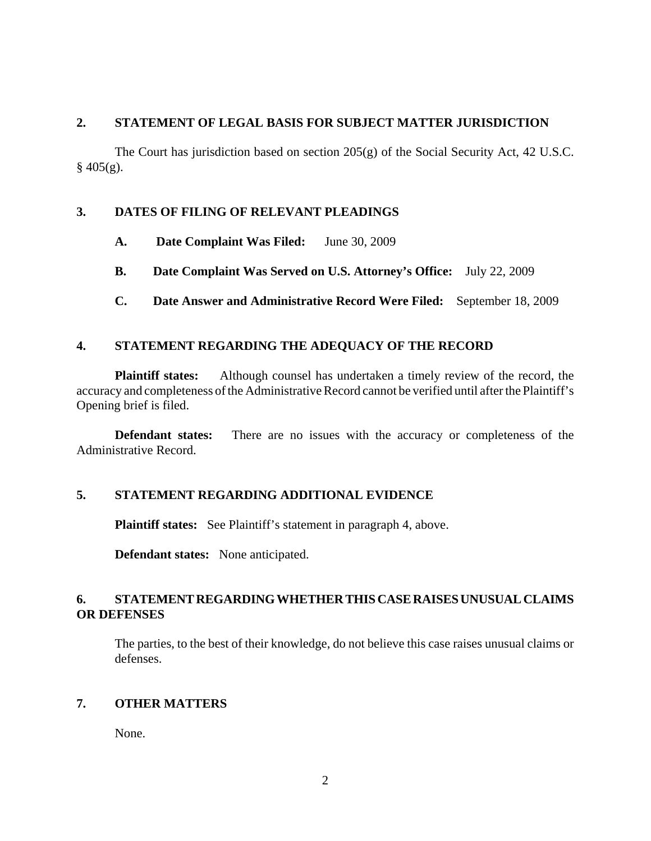### **2. STATEMENT OF LEGAL BASIS FOR SUBJECT MATTER JURISDICTION**

The Court has jurisdiction based on section 205(g) of the Social Security Act, 42 U.S.C.  $§$  405(g).

# **3. DATES OF FILING OF RELEVANT PLEADINGS**

- **A. Date Complaint Was Filed:** June 30, 2009
- **B. Date Complaint Was Served on U.S. Attorney's Office:** July 22, 2009
- **C. Date Answer and Administrative Record Were Filed:** September 18, 2009

### **4. STATEMENT REGARDING THE ADEQUACY OF THE RECORD**

**Plaintiff states:** Although counsel has undertaken a timely review of the record, the accuracy and completeness of the Administrative Record cannot be verified until after the Plaintiff's Opening brief is filed.

**Defendant states:** There are no issues with the accuracy or completeness of the Administrative Record.

#### **5. STATEMENT REGARDING ADDITIONAL EVIDENCE**

**Plaintiff states:** See Plaintiff's statement in paragraph 4, above.

**Defendant states:** None anticipated.

# **6. STATEMENT REGARDING WHETHER THIS CASE RAISES UNUSUAL CLAIMS OR DEFENSES**

The parties, to the best of their knowledge, do not believe this case raises unusual claims or defenses.

# **7. OTHER MATTERS**

None.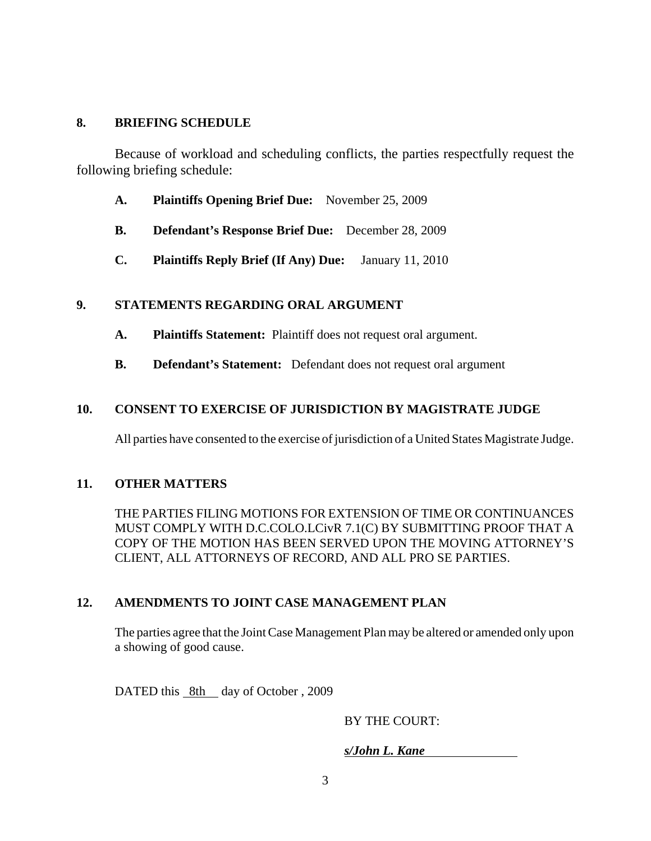## **8. BRIEFING SCHEDULE**

Because of workload and scheduling conflicts, the parties respectfully request the following briefing schedule:

- **A. Plaintiffs Opening Brief Due:** November 25, 2009
- **B. Defendant's Response Brief Due:** December 28, 2009
- **C. Plaintiffs Reply Brief (If Any) Due:** January 11, 2010

### **9. STATEMENTS REGARDING ORAL ARGUMENT**

- **A. Plaintiffs Statement:** Plaintiff does not request oral argument.
- **B. Defendant's Statement:** Defendant does not request oral argument

# **10. CONSENT TO EXERCISE OF JURISDICTION BY MAGISTRATE JUDGE**

All parties have consented to the exercise of jurisdiction of a United States Magistrate Judge.

#### **11. OTHER MATTERS**

THE PARTIES FILING MOTIONS FOR EXTENSION OF TIME OR CONTINUANCES MUST COMPLY WITH D.C.COLO.LCivR 7.1(C) BY SUBMITTING PROOF THAT A COPY OF THE MOTION HAS BEEN SERVED UPON THE MOVING ATTORNEY'S CLIENT, ALL ATTORNEYS OF RECORD, AND ALL PRO SE PARTIES.

# **12. AMENDMENTS TO JOINT CASE MANAGEMENT PLAN**

The parties agree that the Joint Case Management Plan may be altered or amended only upon a showing of good cause.

DATED this 8th day of October, 2009

# BY THE COURT:

# *s/John L. Kane*